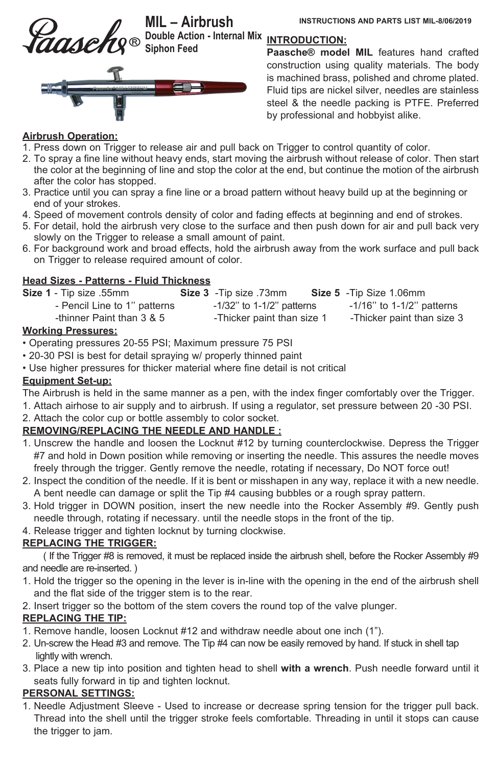

**MIL – Airbrush INSTRUCTIONS AND PARTS LIST MIL-8/06/2019 Double Action - Internal Mix Siphon Feed**



## **INTRODUCTlON:**

**Paasche® model MIL** features hand crafted construction using quality materials. The body is machined brass, polished and chrome plated. Fluid tips are nickel silver, needles are stainless steel & the needle packing is PTFE. Preferred by professional and hobbyist alike.

#### **Airbrush Operation:**

- 1. Press down on Trigger to release air and pull back on Trigger to control quantity of color.
- 2. To spray a fine line without heavy ends, start moving the airbrush without release of color. Then start the color at the beginning of line and stop the color at the end, but continue the motion of the airbrush after the color has stopped.
- 3. Practice until you can spray a fine line or a broad pattern without heavy build up at the beginning or end of your strokes.
- 4. Speed of movement controls density of color and fading effects at beginning and end of strokes.
- 5. For detail, hold the airbrush very close to the surface and then push down for air and pull back very slowly on the Trigger to release a small amount of paint.
- 6. For background work and broad effects, hold the airbrush away from the work surface and pull back on Trigger to release required amount of color.

#### **Head Sizes - Patterns - Fluid Thickness**

| Size 1 - Tip size .55mm       | <b>Size 3</b> - Tip size .73mm  | Size 5 - Tip Size 1.06mm      |
|-------------------------------|---------------------------------|-------------------------------|
| - Pencil Line to 1" patterns  | $-1/32$ " to $1-1/2$ " patterns | $-1/16"$ to $1-1/2"$ patterns |
| -thinner Paint than 3 & 5<br> | -Thicker paint than size 1      | -Thicker paint than size 3    |

#### **Working Pressures:**

- Operating pressures 20-55 PSI; Maximum pressure 75 PSI
- 20-30 PSI is best for detail spraying w/ properly thinned paint
- Use higher pressures for thicker material where fine detail is not critical

#### **Equipment Set-up:**

The Airbrush is held in the same manner as a pen, with the index finger comfortably over the Trigger.

- 1. Attach airhose to air supply and to airbrush. If using a regulator, set pressure between 20 -30 PSI.
- 2. Attach the color cup or bottle assembly to color socket.

#### **REMOVING/REPLAClNG THE NEEDLE AND HANDLE :**

- 1. Unscrew the handle and loosen the Locknut #12 by turning counterclockwise. Depress the Trigger #7 and hold in Down position while removing or inserting the needle. This assures the needle moves freely through the trigger. Gently remove the needle, rotating if necessary, Do NOT force out!
- 2. Inspect the condition of the needle. If it is bent or misshapen in any way, replace it with a new needle. A bent needle can damage or split the Tip #4 causing bubbles or a rough spray pattern.
- 3. Hold trigger in DOWN position, insert the new needle into the Rocker Assembly #9. Gently push needle through, rotating if necessary. until the needle stops in the front of the tip.
- 4. Release trigger and tighten locknut by turning clockwise.

#### **REPLACING THE TRIGGER:**

 ( If the Trigger #8 is removed, it must be replaced inside the airbrush shell, before the Rocker Assembly #9 and needle are re-inserted. )

- 1. Hold the trigger so the opening in the lever is in-line with the opening in the end of the airbrush shell and the flat side of the trigger stem is to the rear.
- 2. Insert trigger so the bottom of the stem covers the round top of the valve plunger.

#### **REPLACING THE TIP:**

- 1. Remove handle, loosen Locknut #12 and withdraw needle about one inch (1").
- 2. Un-screw the Head #3 and remove. The Tip #4 can now be easily removed by hand. If stuck in shell tap lightly with wrench.
- 3. Place a new tip into position and tighten head to shell **with a wrench**. Push needle forward until it seats fully forward in tip and tighten locknut.

## **PERSONAL SETTINGS:**

1. Needle Adjustment Sleeve - Used to increase or decrease spring tension for the trigger pull back. Thread into the shell until the trigger stroke feels comfortable. Threading in until it stops can cause the trigger to jam.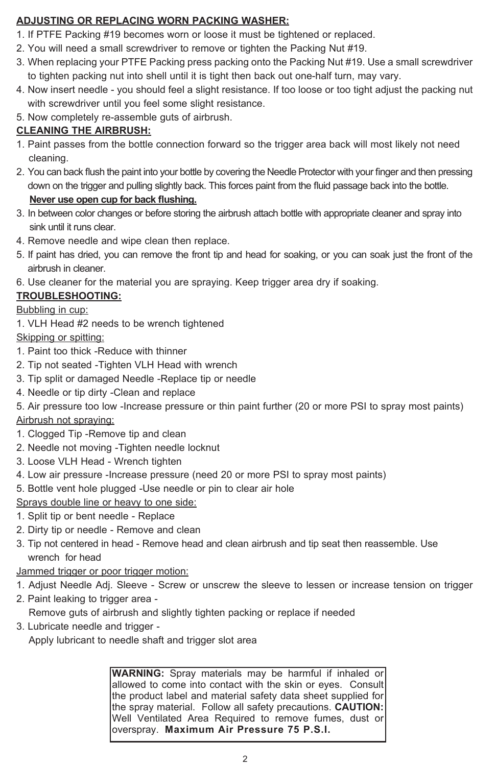# **ADJUSTING OR REPLACING WORN PACKING WASHER:**

- 1. If PTFE Packing #19 becomes worn or loose it must be tightened or replaced.
- 2. You will need a small screwdriver to remove or tighten the Packing Nut #19.
- 3. When replacing your PTFE Packing press packing onto the Packing Nut #19. Use a small screwdriver to tighten packing nut into shell until it is tight then back out one-half turn, may vary.
- 4. Now insert needle you should feel a slight resistance. If too loose or too tight adjust the packing nut with screwdriver until you feel some slight resistance.
- 5. Now completely re-assemble guts of airbrush.

# **CLEANING THE AIRBRUSH:**

- 1. Paint passes from the bottle connection forward so the trigger area back will most likely not need cleaning.
- 2. You can back flush the paint into your bottle by covering the Needle Protector with your finger and then pressing down on the trigger and pulling slightly back. This forces paint from the fluid passage back into the bottle. **Never use open cup for back flushing.**
- 3. In between color changes or before storing the airbrush attach bottle with appropriate cleaner and spray into sink until it runs clear.
- 4. Remove needle and wipe clean then replace.
- 5. If paint has dried, you can remove the front tip and head for soaking, or you can soak just the front of the airbrush in cleaner.
- 6. Use cleaner for the material you are spraying. Keep trigger area dry if soaking.

# **TROUBLESHOOTING:**

## Bubbling in cup:

1. VLH Head #2 needs to be wrench tightened

Skipping or spitting:

- 1. Paint too thick -Reduce with thinner
- 2. Tip not seated -Tighten VLH Head with wrench
- 3. Tip split or damaged Needle -Replace tip or needle
- 4. Needle or tip dirty -Clean and replace
- 5. Air pressure too low -Increase pressure or thin paint further (20 or more PSI to spray most paints) Airbrush not spraying:
- 1. Clogged Tip -Remove tip and clean
- 2. Needle not moving -Tighten needle locknut
- 3. Loose VLH Head Wrench tighten
- 4. Low air pressure -Increase pressure (need 20 or more PSI to spray most paints)
- 5. Bottle vent hole plugged -Use needle or pin to clear air hole

Sprays double line or heavy to one side:

- 1. Split tip or bent needle Replace
- 2. Dirty tip or needle Remove and clean
- 3. Tip not centered in head Remove head and clean airbrush and tip seat then reassemble. Use wrench for head

Jammed trigger or poor trigger motion:

- 1. Adjust Needle Adj. Sleeve Screw or unscrew the sleeve to lessen or increase tension on trigger
- 2. Paint leaking to trigger area -

Remove guts of airbrush and slightly tighten packing or replace if needed

3. Lubricate needle and trigger -

Apply lubricant to needle shaft and trigger slot area

**WARNING:** Spray materials may be harmful if inhaled or allowed to come into contact with the skin or eyes. Consult the product label and material safety data sheet supplied for the spray material. Follow all safety precautions. **CAUTION:** Well Ventilated Area Required to remove fumes, dust or overspray. **Maximum Air Pressure 75 P.S.I.**